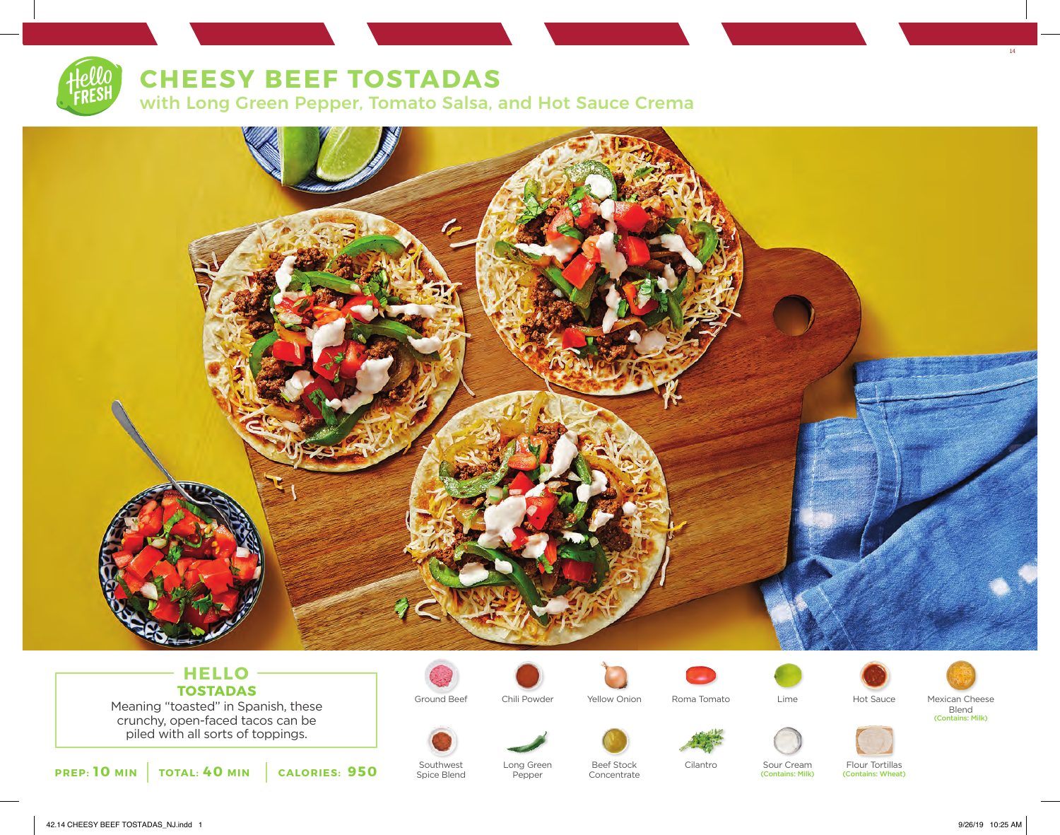# **CHEESY BEEF TOSTADAS**

with Long Green Pepper, Tomato Salsa, and Hot Sauce Crema



## **HELLO TOSTADAS**

Meaning "toasted" in Spanish, these crunchy, open-faced tacos can be piled with all sorts of toppings.

**PREP: 10 MIN TOTAL: 40 MIN CALORIES: 950**



Spice Blend



Pepper







Ground Beef Chili Powder Yellow Onion Roma Tomato Lime Hot Sauce Mexican Cheese



14

Blend (Contains: Milk)



Beef Stock

Concentrate

Cilantro Sour Cream Flour Tortillas Sour Cream (Contains: Milk)

(Contains: Wheat)